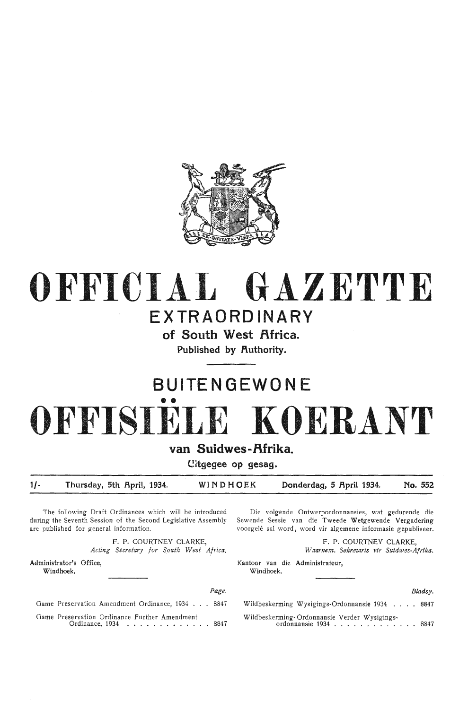

# **OFFICIAL GAZETTE**

### **EXTRAORDINARY**

of South West Africa. Published by Authority.

## **BU I TEN GE WO N E**  •• **OFFISIELE KOERANT**

van Suidwes-Afrika.

**Citgegee op gesag.** 

1/- Thursday, 5th April, 1934. WINDHOEK Donderdag, 5 April 1934. No. 552

The following Draft Ordinances which will be introduced during the Seventh Session of the Second Legislative Assembly are published for general information.

> **F.** P. COURTNEY CLARKE, *Acting Secretary for Squth W est Africa.*

Administrator's Office, **Windhoek.** 

Die volgende Ontwerpordonnansies, wat gedurende die Sewende Sessie van die Tweede Wetgewende Vergadering voorgelê sal word, word vir algemene informasie gepubliseer.

> F. P. COURTNEY CLARKE, *Waarnem. Sekretaris vir Suidwes-Afrika.*

Kantoor van die Administrateur, **Windhoek.** 

*Bladsy.* 

|                                                  | Page.                |  |
|--------------------------------------------------|----------------------|--|
| Game Preservation Amendment Ordinance, 1934 8847 |                      |  |
| Game Preservation Ordinance Further Amendment    | Ordinance, 1934 8847 |  |

Wildbeskerming Wysigings-Ordonnansie 1934 .. Wildbeskerming- Ordonnansie Verder Wysigingsrming-Ordonnansie Verder Wysigings-<br>ordonnansie 1934 . . . . . . . . . . . . . . 8847 8847